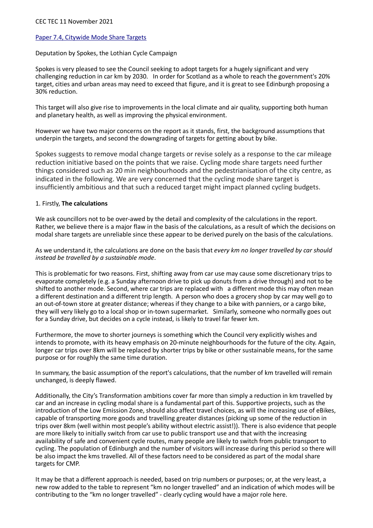## [Paper 7.4, Citywide Mode Share Targets](https://democracy.edinburgh.gov.uk/documents/s40132/7.4%20-%20City%20Mobility%20Plan%20-%20Mode%20Share%20Target.pdf)

Deputation by Spokes, the Lothian Cycle Campaign

Spokes is very pleased to see the Council seeking to adopt targets for a hugely significant and very challenging reduction in car km by 2030. In order for Scotland as a whole to reach the government's 20% target, cities and urban areas may need to exceed that figure, and it is great to see Edinburgh proposing a 30% reduction.

This target will also give rise to improvements in the local climate and air quality, supporting both human and planetary health, as well as improving the physical environment.

However we have two major concerns on the report as it stands, first, the background assumptions that underpin the targets, and second the downgrading of targets for getting about by bike.

Spokes suggests to remove modal change targets or revise solely as a response to the car mileage reduction initiative based on the points that we raise. Cycling mode share targets need further things considered such as 20 min neighbourhoods and the pedestrianisation of the city centre, as indicated in the following. We are very concerned that the cycling mode share target is insufficiently ambitious and that such a reduced target might impact planned cycling budgets.

## 1. Firstly, **The calculations**

We ask councillors not to be over-awed by the detail and complexity of the calculations in the report. Rather, we believe there is a major flaw in the basis of the calculations, as a result of which the decisions on modal share targets are unreliable since these appear to be derived purely on the basis of the calculations.

As we understand it, the calculations are done on the basis that *every km no longer travelled by car should instead be travelled by a sustainable mode*.

This is problematic for two reasons. First, shifting away from car use may cause some discretionary trips to evaporate completely (e.g. a Sunday afternoon drive to pick up donuts from a drive through) and not to be shifted to another mode. Second, where car trips are replaced with a different mode this may often mean a different destination and a different trip length. A person who does a grocery shop by car may well go to an out-of-town store at greater distance; whereas if they change to a bike with panniers, or a cargo bike, they will very likely go to a local shop or in-town supermarket. Similarly, someone who normally goes out for a Sunday drive, but decides on a cycle instead, is likely to travel far fewer km.

Furthermore, the move to shorter journeys is something which the Council very explicitly wishes and intends to promote, with its heavy emphasis on 20-minute neighbourhoods for the future of the city. Again, longer car trips over 8km will be replaced by shorter trips by bike or other sustainable means, for the same purpose or for roughly the same time duration.

In summary, the basic assumption of the report's calculations, that the number of km travelled will remain unchanged, is deeply flawed.

Additionally, the City's Transformation ambitions cover far more than simply a reduction in km travelled by car and an increase in cycling modal share is a fundamental part of this. Supportive projects, such as the introduction of the Low Emission Zone, should also affect travel choices, as will the increasing use of eBikes, capable of transporting more goods and travelling greater distances (picking up some of the reduction in trips over 8km (well within most people's ability without electric assist!)). There is also evidence that people are more likely to initially switch from car use to public transport use and that with the increasing availability of safe and convenient cycle routes, many people are likely to switch from public transport to cycling. The population of Edinburgh and the number of visitors will increase during this period so there will be also impact the kms travelled. All of these factors need to be considered as part of the modal share targets for CMP.

It may be that a different approach is needed, based on trip numbers or purposes; or, at the very least, a new row added to the table to represent "km no longer travelled" and an indication of which modes will be contributing to the "km no longer travelled" - clearly cycling would have a major role here.